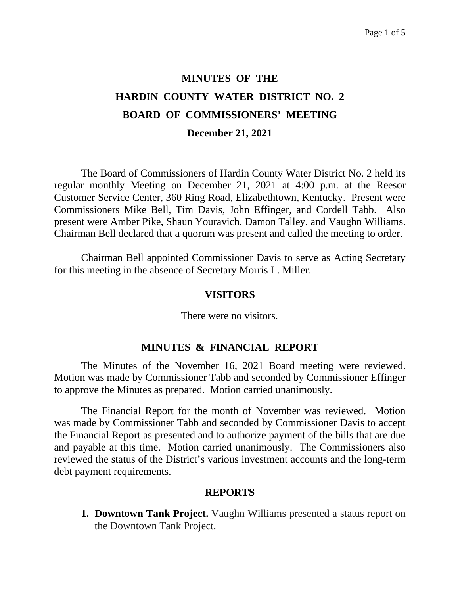# **MINUTES OF THE HARDIN COUNTY WATER DISTRICT NO. 2 BOARD OF COMMISSIONERS' MEETING December 21, 2021**

The Board of Commissioners of Hardin County Water District No. 2 held its regular monthly Meeting on December 21, 2021 at 4:00 p.m. at the Reesor Customer Service Center, 360 Ring Road, Elizabethtown, Kentucky. Present were Commissioners Mike Bell, Tim Davis, John Effinger, and Cordell Tabb. Also present were Amber Pike, Shaun Youravich, Damon Talley, and Vaughn Williams. Chairman Bell declared that a quorum was present and called the meeting to order.

Chairman Bell appointed Commissioner Davis to serve as Acting Secretary for this meeting in the absence of Secretary Morris L. Miller.

#### **VISITORS**

There were no visitors.

#### **MINUTES & FINANCIAL REPORT**

The Minutes of the November 16, 2021 Board meeting were reviewed. Motion was made by Commissioner Tabb and seconded by Commissioner Effinger to approve the Minutes as prepared. Motion carried unanimously.

The Financial Report for the month of November was reviewed. Motion was made by Commissioner Tabb and seconded by Commissioner Davis to accept the Financial Report as presented and to authorize payment of the bills that are due and payable at this time. Motion carried unanimously. The Commissioners also reviewed the status of the District's various investment accounts and the long-term debt payment requirements.

#### **REPORTS**

**1. Downtown Tank Project.** Vaughn Williams presented a status report on the Downtown Tank Project.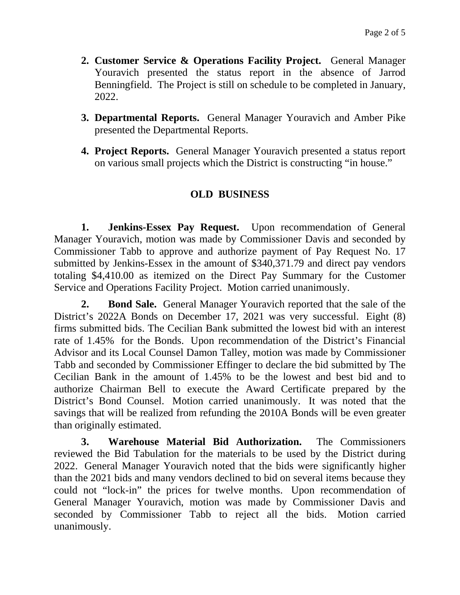- **2. Customer Service & Operations Facility Project.** General Manager Youravich presented the status report in the absence of Jarrod Benningfield. The Project is still on schedule to be completed in January, 2022.
- **3. Departmental Reports.** General Manager Youravich and Amber Pike presented the Departmental Reports.
- **4. Project Reports.** General Manager Youravich presented a status report on various small projects which the District is constructing "in house."

# **OLD BUSINESS**

**1. Jenkins-Essex Pay Request.** Upon recommendation of General Manager Youravich, motion was made by Commissioner Davis and seconded by Commissioner Tabb to approve and authorize payment of Pay Request No. 17 submitted by Jenkins-Essex in the amount of \$340,371.79 and direct pay vendors totaling \$4,410.00 as itemized on the Direct Pay Summary for the Customer Service and Operations Facility Project. Motion carried unanimously.

**2. Bond Sale.** General Manager Youravich reported that the sale of the District's 2022A Bonds on December 17, 2021 was very successful. Eight (8) firms submitted bids. The Cecilian Bank submitted the lowest bid with an interest rate of 1.45% for the Bonds. Upon recommendation of the District's Financial Advisor and its Local Counsel Damon Talley, motion was made by Commissioner Tabb and seconded by Commissioner Effinger to declare the bid submitted by The Cecilian Bank in the amount of 1.45% to be the lowest and best bid and to authorize Chairman Bell to execute the Award Certificate prepared by the District's Bond Counsel. Motion carried unanimously. It was noted that the savings that will be realized from refunding the 2010A Bonds will be even greater than originally estimated.

**3. Warehouse Material Bid Authorization.** The Commissioners reviewed the Bid Tabulation for the materials to be used by the District during 2022. General Manager Youravich noted that the bids were significantly higher than the 2021 bids and many vendors declined to bid on several items because they could not "lock-in" the prices for twelve months. Upon recommendation of General Manager Youravich, motion was made by Commissioner Davis and seconded by Commissioner Tabb to reject all the bids. Motion carried unanimously.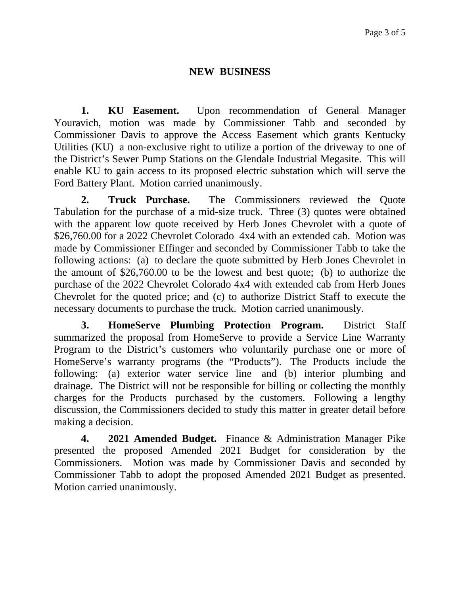# **NEW BUSINESS**

**1. KU Easement.** Upon recommendation of General Manager Youravich, motion was made by Commissioner Tabb and seconded by Commissioner Davis to approve the Access Easement which grants Kentucky Utilities (KU) a non-exclusive right to utilize a portion of the driveway to one of the District's Sewer Pump Stations on the Glendale Industrial Megasite. This will enable KU to gain access to its proposed electric substation which will serve the Ford Battery Plant. Motion carried unanimously.

**2. Truck Purchase.** The Commissioners reviewed the Quote Tabulation for the purchase of a mid-size truck. Three (3) quotes were obtained with the apparent low quote received by Herb Jones Chevrolet with a quote of \$26,760.00 for a 2022 Chevrolet Colorado 4x4 with an extended cab. Motion was made by Commissioner Effinger and seconded by Commissioner Tabb to take the following actions: (a) to declare the quote submitted by Herb Jones Chevrolet in the amount of \$26,760.00 to be the lowest and best quote; (b) to authorize the purchase of the 2022 Chevrolet Colorado 4x4 with extended cab from Herb Jones Chevrolet for the quoted price; and (c) to authorize District Staff to execute the necessary documents to purchase the truck. Motion carried unanimously.

**3. HomeServe Plumbing Protection Program.** District Staff summarized the proposal from HomeServe to provide a Service Line Warranty Program to the District's customers who voluntarily purchase one or more of HomeServe's warranty programs (the "Products"). The Products include the following: (a) exterior water service line and (b) interior plumbing and drainage. The District will not be responsible for billing or collecting the monthly charges for the Products purchased by the customers. Following a lengthy discussion, the Commissioners decided to study this matter in greater detail before making a decision.

**4. 2021 Amended Budget.** Finance & Administration Manager Pike presented the proposed Amended 2021 Budget for consideration by the Commissioners. Motion was made by Commissioner Davis and seconded by Commissioner Tabb to adopt the proposed Amended 2021 Budget as presented. Motion carried unanimously.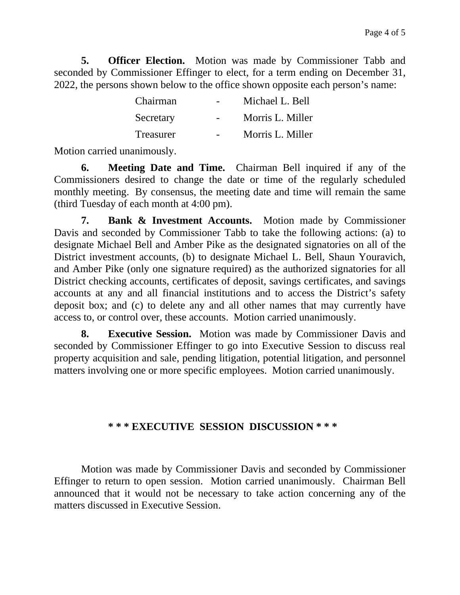**5. Officer Election.** Motion was made by Commissioner Tabb and seconded by Commissioner Effinger to elect, for a term ending on December 31, 2022, the persons shown below to the office shown opposite each person's name:

| Chairman  | Michael L. Bell  |
|-----------|------------------|
| Secretary | Morris L. Miller |
| Treasurer | Morris L. Miller |

Motion carried unanimously.

**6. Meeting Date and Time.** Chairman Bell inquired if any of the Commissioners desired to change the date or time of the regularly scheduled monthly meeting. By consensus, the meeting date and time will remain the same (third Tuesday of each month at 4:00 pm).

**7. Bank & Investment Accounts.** Motion made by Commissioner Davis and seconded by Commissioner Tabb to take the following actions: (a) to designate Michael Bell and Amber Pike as the designated signatories on all of the District investment accounts, (b) to designate Michael L. Bell, Shaun Youravich, and Amber Pike (only one signature required) as the authorized signatories for all District checking accounts, certificates of deposit, savings certificates, and savings accounts at any and all financial institutions and to access the District's safety deposit box; and (c) to delete any and all other names that may currently have access to, or control over, these accounts. Motion carried unanimously.

**8. Executive Session.** Motion was made by Commissioner Davis and seconded by Commissioner Effinger to go into Executive Session to discuss real property acquisition and sale, pending litigation, potential litigation, and personnel matters involving one or more specific employees. Motion carried unanimously.

## **\* \* \* EXECUTIVE SESSION DISCUSSION \* \* \***

Motion was made by Commissioner Davis and seconded by Commissioner Effinger to return to open session. Motion carried unanimously. Chairman Bell announced that it would not be necessary to take action concerning any of the matters discussed in Executive Session.